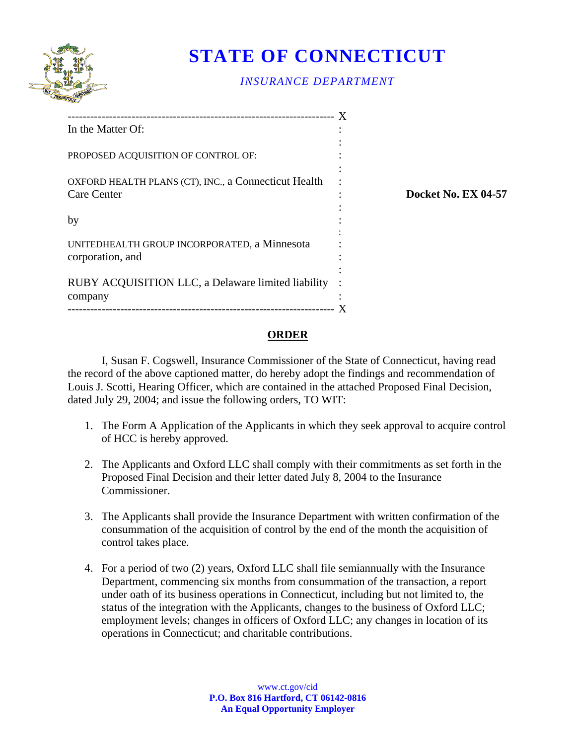

## **STATE OF CONNECTICUT**

## *INSURANCE DEPARTMENT*

| In the Matter Of:                                                          |                            |
|----------------------------------------------------------------------------|----------------------------|
| PROPOSED ACQUISITION OF CONTROL OF:                                        |                            |
| OXFORD HEALTH PLANS (CT), INC., a Connecticut Health<br><b>Care Center</b> | <b>Docket No. EX 04-57</b> |
| by                                                                         |                            |
| UNITEDHEALTH GROUP INCORPORATED, a Minnesota<br>corporation, and           |                            |
| RUBY ACQUISITION LLC, a Delaware limited liability<br>company              |                            |
|                                                                            |                            |

## **ORDER**

I, Susan F. Cogswell, Insurance Commissioner of the State of Connecticut, having read the record of the above captioned matter, do hereby adopt the findings and recommendation of Louis J. Scotti, Hearing Officer, which are contained in the attached Proposed Final Decision, dated July 29, 2004; and issue the following orders, TO WIT:

- 1. The Form A Application of the Applicants in which they seek approval to acquire control of HCC is hereby approved.
- 2. The Applicants and Oxford LLC shall comply with their commitments as set forth in the Proposed Final Decision and their letter dated July 8, 2004 to the Insurance Commissioner.
- 3. The Applicants shall provide the Insurance Department with written confirmation of the consummation of the acquisition of control by the end of the month the acquisition of control takes place.
- 4. For a period of two (2) years, Oxford LLC shall file semiannually with the Insurance Department, commencing six months from consummation of the transaction, a report under oath of its business operations in Connecticut, including but not limited to, the status of the integration with the Applicants, changes to the business of Oxford LLC; employment levels; changes in officers of Oxford LLC; any changes in location of its operations in Connecticut; and charitable contributions.